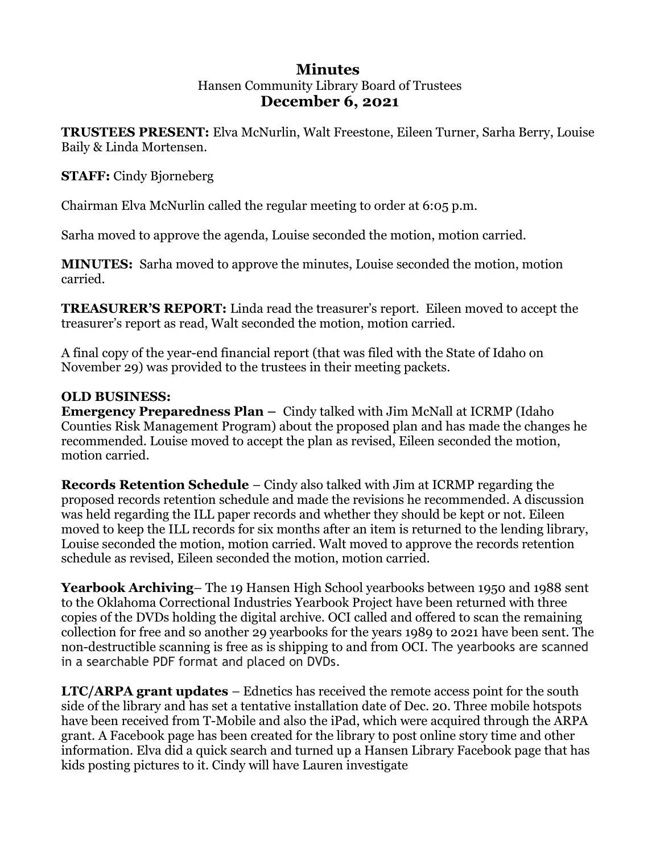# **Minutes**  Hansen Community Library Board of Trustees **December 6, 2021**

**TRUSTEES PRESENT:** Elva McNurlin, Walt Freestone, Eileen Turner, Sarha Berry, Louise Baily & Linda Mortensen.

# **STAFF:** Cindy Bjorneberg

Chairman Elva McNurlin called the regular meeting to order at 6:05 p.m.

Sarha moved to approve the agenda, Louise seconded the motion, motion carried.

**MINUTES:** Sarha moved to approve the minutes, Louise seconded the motion, motion carried.

**TREASURER'S REPORT:** Linda read the treasurer's report. Eileen moved to accept the treasurer's report as read, Walt seconded the motion, motion carried.

A final copy of the year-end financial report (that was filed with the State of Idaho on November 29) was provided to the trustees in their meeting packets.

## **OLD BUSINESS:**

**Emergency Preparedness Plan –** Cindy talked with Jim McNall at ICRMP (Idaho Counties Risk Management Program) about the proposed plan and has made the changes he recommended. Louise moved to accept the plan as revised, Eileen seconded the motion, motion carried.

**Records Retention Schedule** – Cindy also talked with Jim at ICRMP regarding the proposed records retention schedule and made the revisions he recommended. A discussion was held regarding the ILL paper records and whether they should be kept or not. Eileen moved to keep the ILL records for six months after an item is returned to the lending library, Louise seconded the motion, motion carried. Walt moved to approve the records retention schedule as revised, Eileen seconded the motion, motion carried.

**Yearbook Archiving**– The 19 Hansen High School yearbooks between 1950 and 1988 sent to the Oklahoma Correctional Industries Yearbook Project have been returned with three copies of the DVDs holding the digital archive. OCI called and offered to scan the remaining collection for free and so another 29 yearbooks for the years 1989 to 2021 have been sent. The non-destructible scanning is free as is shipping to and from OCI. The yearbooks are scanned in a searchable PDF format and placed on DVDs.

**LTC/ARPA grant updates** – Ednetics has received the remote access point for the south side of the library and has set a tentative installation date of Dec. 20. Three mobile hotspots have been received from T-Mobile and also the iPad, which were acquired through the ARPA grant. A Facebook page has been created for the library to post online story time and other information. Elva did a quick search and turned up a Hansen Library Facebook page that has kids posting pictures to it. Cindy will have Lauren investigate